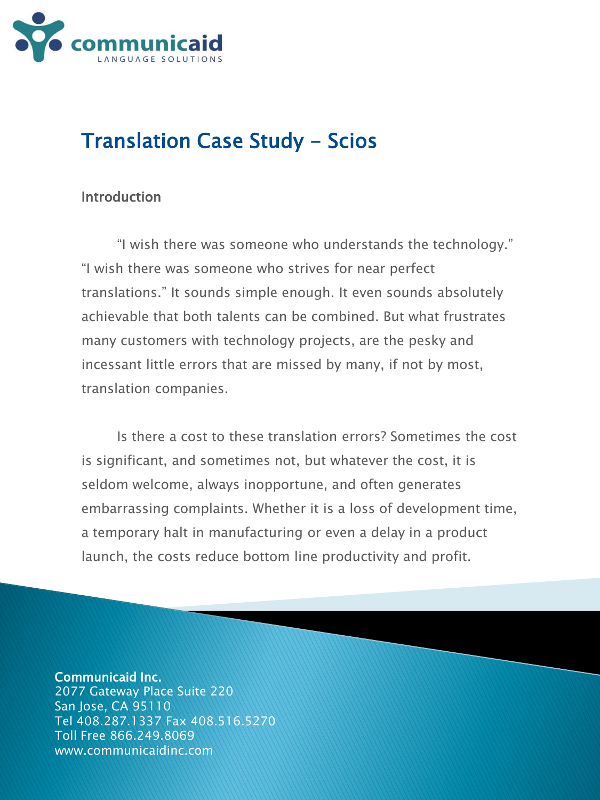

# Translation Case Study - Scios

# **Introduction**

"I wish there was someone who understands the technology." "I wish there was someone who strives for near perfect translations." It sounds simple enough. It even sounds absolutely achievable that both talents can be combined. But what frustrates many customers with technology projects, are the pesky and incessant little errors that are missed by many, if not by most, translation companies.

Is there a cost to these translation errors? Sometimes the cost is significant, and sometimes not, but whatever the cost, it is seldom welcome, always inopportune, and often generates embarrassing complaints. Whether it is a loss of development time, a temporary halt in manufacturing or even a delay in a product launch, the costs reduce bottom line productivity and profit.

## Communicaid Inc.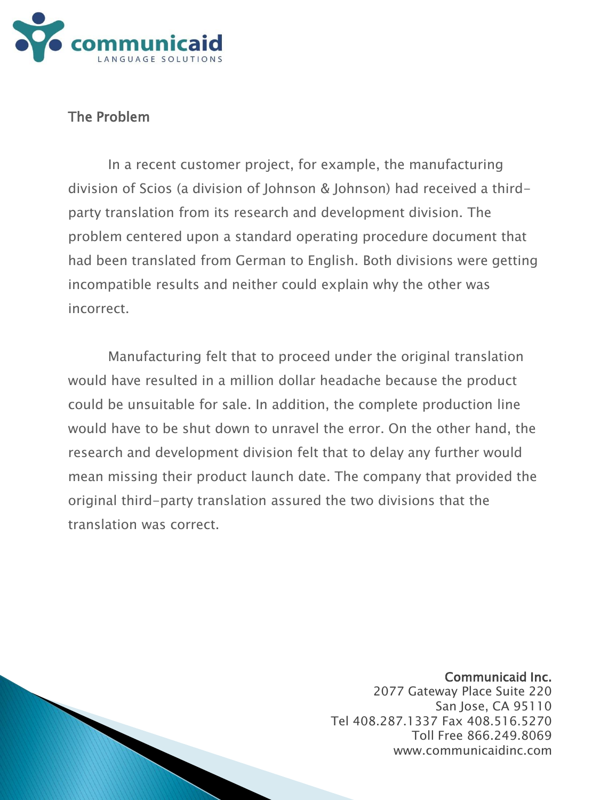

# The Problem

In a recent customer project, for example, the manufacturing division of Scios (a division of Johnson & Johnson) had received a thirdparty translation from its research and development division. The problem centered upon a standard operating procedure document that had been translated from German to English. Both divisions were getting incompatible results and neither could explain why the other was incorrect.

Manufacturing felt that to proceed under the original translation would have resulted in a million dollar headache because the product could be unsuitable for sale. In addition, the complete production line would have to be shut down to unravel the error. On the other hand, the research and development division felt that to delay any further would mean missing their product launch date. The company that provided the original third-party translation assured the two divisions that the translation was correct.

## Communicaid Inc.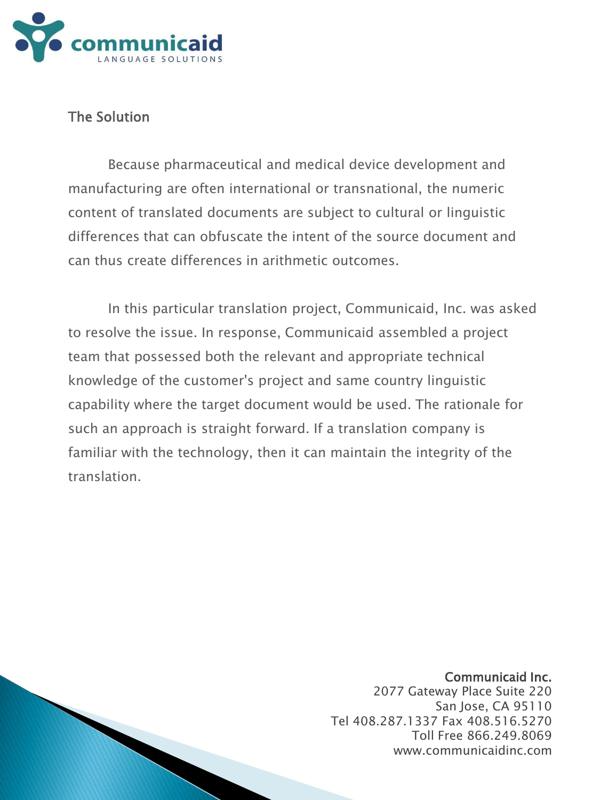

# The Solution

Because pharmaceutical and medical device development and manufacturing are often international or transnational, the numeric content of translated documents are subject to cultural or linguistic differences that can obfuscate the intent of the source document and can thus create differences in arithmetic outcomes.

In this particular translation project, Communicaid, Inc. was asked to resolve the issue. In response, Communicaid assembled a project team that possessed both the relevant and appropriate technical knowledge of the customer's project and same country linguistic capability where the target document would be used. The rationale for such an approach is straight forward. If a translation company is familiar with the technology, then it can maintain the integrity of the translation.

## Communicaid Inc.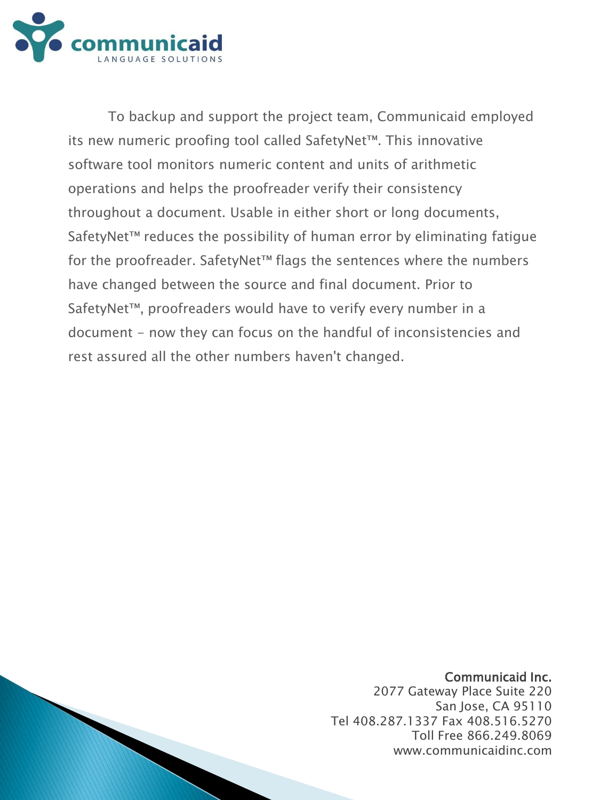

To backup and support the project team, Communicaid employed its new numeric proofing tool called SafetyNet™. This innovative software tool monitors numeric content and units of arithmetic operations and helps the proofreader verify their consistency throughout a document. Usable in either short or long documents, SafetyNet™ reduces the possibility of human error by eliminating fatique for the proofreader. SafetyNet™ flags the sentences where the numbers have changed between the source and final document. Prior to SafetyNet™, proofreaders would have to verify every number in a document - now they can focus on the handful of inconsistencies and rest assured all the other numbers haven't changed.

### Communicaid Inc.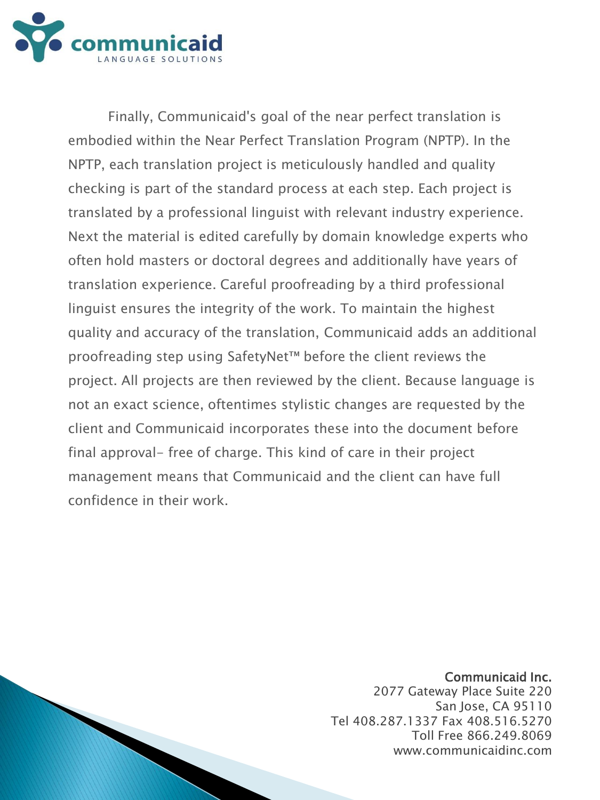

Finally, Communicaid's goal of the near perfect translation is embodied within the Near Perfect Translation Program (NPTP). In the NPTP, each translation project is meticulously handled and quality checking is part of the standard process at each step. Each project is translated by a professional linguist with relevant industry experience. Next the material is edited carefully by domain knowledge experts who often hold masters or doctoral degrees and additionally have years of translation experience. Careful proofreading by a third professional linguist ensures the integrity of the work. To maintain the highest quality and accuracy of the translation, Communicaid adds an additional proofreading step using SafetyNet™ before the client reviews the project. All projects are then reviewed by the client. Because language is not an exact science, oftentimes stylistic changes are requested by the client and Communicaid incorporates these into the document before final approval- free of charge. This kind of care in their project management means that Communicaid and the client can have full confidence in their work.

### Communicaid Inc.